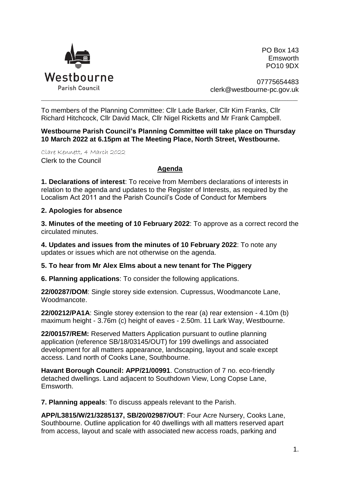

PO Box 143 Emsworth PO10 9DX

07775654483 clerk@westbourne-pc.gov.uk

To members of the Planning Committee: Cllr Lade Barker, Cllr Kim Franks, Cllr Richard Hitchcock, Cllr David Mack, Cllr Nigel Ricketts and Mr Frank Campbell.

**Westbourne Parish Council's Planning Committee will take place on Thursday 10 March 2022 at 6.15pm at The Meeting Place, North Street, Westbourne.** 

\_\_\_\_\_\_\_\_\_\_\_\_\_\_\_\_\_\_\_\_\_\_\_\_\_\_\_\_\_\_\_\_\_\_\_\_\_\_\_\_\_\_\_\_\_\_\_\_\_\_\_\_\_\_\_\_\_\_\_\_\_\_\_\_\_\_\_\_\_\_\_\_\_\_\_\_\_\_\_\_\_\_\_\_\_\_\_\_\_\_\_\_\_\_\_\_\_\_\_\_\_

Clare Kennett, 4 March 2022 Clerk to the Council

## **Agenda**

**1. Declarations of interest**: To receive from Members declarations of interests in relation to the agenda and updates to the Register of Interests, as required by the Localism Act 2011 and the Parish Council's Code of Conduct for Members

## **2. Apologies for absence**

**3. Minutes of the meeting of 10 February 2022**: To approve as a correct record the circulated minutes.

**4. Updates and issues from the minutes of 10 February 2022**: To note any updates or issues which are not otherwise on the agenda.

## **5. To hear from Mr Alex Elms about a new tenant for The Piggery**

**6. Planning applications**: To consider the following applications.

**22/00287/DOM**: Single storey side extension. Cupressus, Woodmancote Lane, Woodmancote.

**22/00212/PA1A**: Single storey extension to the rear (a) rear extension - 4.10m (b) maximum height - 3.76m (c) height of eaves - 2.50m. 11 Lark Way, Westbourne.

**22/00157/REM:** Reserved Matters Application pursuant to outline planning application (reference SB/18/03145/OUT) for 199 dwellings and associated development for all matters appearance, landscaping, layout and scale except access. Land north of Cooks Lane, Southbourne.

**Havant Borough Council: APP/21/00991**. Construction of 7 no. eco-friendly detached dwellings. Land adjacent to Southdown View, Long Copse Lane, Emsworth.

**7. Planning appeals**: To discuss appeals relevant to the Parish.

**APP/L3815/W/21/3285137, SB/20/02987/OUT**: Four Acre Nursery, Cooks Lane, Southbourne. Outline application for 40 dwellings with all matters reserved apart from access, layout and scale with associated new access roads, parking and